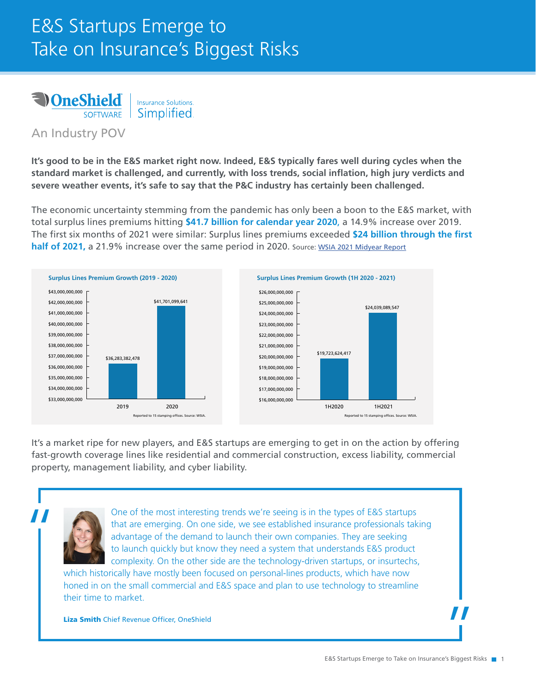## E&S Startups Emerge to Take on Insurance's Biggest Risks



An Industry POV

**It's good to be in the E&S market right now. Indeed, E&S typically fares well during cycles when the standard market is challenged, and currently, with loss trends, social inflation, high jury verdicts and severe weather events, it's safe to say that the P&C industry has certainly been challenged.** 

The economic uncertainty stemming from the pandemic has only been a boon to the E&S market, with total surplus lines premiums hitting **\$41.7 billion for calendar year 2020**, a 14.9% increase over 2019. The first six months of 2021 were similar: Surplus lines premiums exceeded **\$24 billion through the first half of 2021, a 21.9% increase over the same period in 2020. Source: [WSIA 2021 Midyear Report](https://www.wsia.org/docs/PDF/Legislative/Stamping/MEDIA_RELEASE_2021_Surplus_Lines_Stamping_Office_Midyear_Report.pdf)** 





It's a market ripe for new players, and E&S startups are emerging to get in on the action by offering fast-growth coverage lines like residential and commercial construction, excess liability, commercial property, management liability, and cyber liability.



One of the most interesting trends we're seeing is in the types of E&S startups<br>that are emerging. On one side, we see established insurance professionals tak<br>advantage of the demand to launch their own companies. They are that are emerging. On one side, we see established insurance professionals taking advantage of the demand to launch their own companies. They are seeking to launch quickly but know they need a system that understands E&S product complexity. On the other side are the technology-driven startups, or insurtechs,

which historically have mostly been focused on personal-lines products, which have now honed in on the small commercial and E&S space and plan to use technology to streamline their time to market.

Liza Smith Chief Revenue Officer, OneShield

|<br>|}